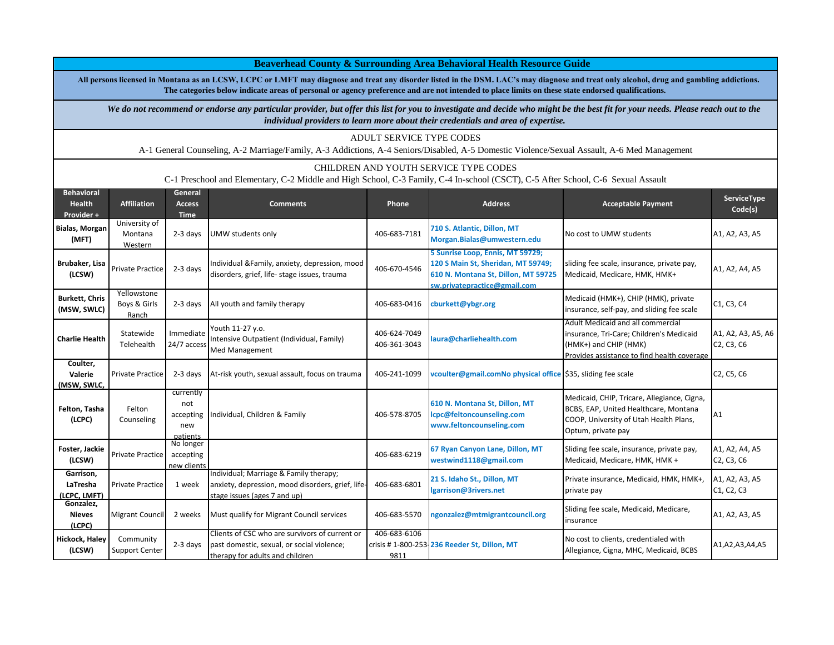**All persons licensed in Montana as an LCSW, LCPC or LMFT may diagnose and treat any disorder listed in the DSM. LAC's may diagnose and treat only alcohol, drug and gambling addictions. The categories below indicate areas of personal or agency preference and are not intended to place limits on these state endorsed qualifications.** 

 **Beaverhead County & Surrounding Area Behavioral Health Resource Guide**

We do not recommend or endorse any particular provider, but offer this list for you to investigate and decide who might be the best fit for your needs. Please reach out to the *individual providers to learn more about their credentials and area of expertise.*

**Behavioral Health Provider + Affiliation General Access Time Comments Phone Address Acceptable Payment ServiceType Code(s) Bialas, Morgan (MFT)**  University of Montana Western 2-3 days UMW students only 406-683-7181 **710 S. Atlantic, Dillon, MT Morgan.Bialas@umwestern.edu** No cost to UMW students A1, A2, A3, A5 **Brubaker, Lisa** baker, Lisa Private Practice 2-3 days Individual &Family, anxiety, depression, mood **406-670-4546**<br>(LCSW) Private Practice 2-3 days disorders, grief, life-stage issues, trauma **5 Sunrise Loop, Ennis, MT 59729; 120 S Main St, Sheridan, MT 59749; 610 N. Montana St, Dillon, MT 59725 sw.privatepractice@gmail.com** sliding fee scale, insurance, private pay, shuing ree scale, insurance, private pay,<br>Medicaid, Medicare, HMK, HMK+ **Burkett, Chris (MSW, SWLC)** Yellowstone Boys & Girls Ranch 2-3 days All youth and family therapy **1990 and 1990** 406-683-0416 **[cburkett@ybgr.org](mailto:cburkett@ybgr.org)** Medicaid (HMK+), CHIP (HMK), private  $\frac{1}{2}$  insurance, self-pay, and sliding fee scale  $\frac{1}{2}$  C1, C3, C4 **Charlie Health** Statewide Telehealth Immediate  $24/7$  acces Youth 11-27 y.o. Intensive Outpatient (Individual, Family) Med Management 406-624-7049 406-361-3043 **laura@charliehealth.com** Adult Medicaid and all commercial insurance, Tri-Care; Children's Medicaid (HMK+) and CHIP (HMK) Provides assistance to find health coverage A1, A2, A3, A5, A6 C2, C3, C6 **Coulter, Valerie (MSW, SWLC,**  Private Practice 2-3 days At-risk youth, sexual assault, focus on trauma 406-241-1099 **vcoulter@gmail.com No physical office** \$35, sliding fee scale C2, C5, C6 **Felton, Tasha (LCPC)** Felton Counseling currently not accepting new patients ndividual, Children & Family 1996-578-8705 **610 N. Montana St, Dillon, MT lcpc@feltoncounseling.com www.feltoncounseling.com** Medicaid, CHIP, Tricare, Allegiance, Cigna, BCBS, EAP, United Healthcare, Montana COOP, University of Utah Health Plans, Optum, private pay A1 **Foster, Jackie (LCSW)** Private Practice No longer accepting new client 406-683-6219 **67 Ryan Canyon Lane, Dillon, MT westwind1118@gmail.com** Sliding fee scale, insurance, private pay, Medicaid, Medicare, HMK, HMK + A1, A2, A4, A5 C2, C3, C6 **Garrison, LaTresha (LCPC, LMFT)** Private Practice 1 week ndividual; Marriage & Family therapy; anxiety, depression, mood disorders, grief, lifestage issues (ages 7 and up) 406-683-6801 **21 S. Idaho St., Dillon, MT lgarrison@3rivers.net** Private insurance, Medicaid, HMK, HMK+, private pay A1, A2, A3, A5 C1, C2, C3 **Gonzalez, Nieves (LCPC)** Migrant Council 2 weeks Must qualify for Migrant Council services 406-683-5570 **ngonzalez@mtmigrantcouncil.org** Sliding fee scale, Medicaid, Medicare, insurance A1, A2, A3, A5 **Hickock, Haley (LCSW)** Community Support Center 2-3 days Clients of CSC who are survivors of current or past domestic, sexual, or social violence; 406-683-6106 No cost to clients, credentialed with<br>Crisis # 1-800-253-236 Reeder St, Dillon, MT No cost to clients, credentialed with  $\begin{bmatrix} 1 & 0 & 0 \\ 0 & -1 & -1 \\ 0 & 0 & 0 \end{bmatrix}$  A1,A2,A3,A4,A5 ADULT SERVICE TYPE CODES A-1 General Counseling, A-2 Marriage/Family, A-3 Addictions, A-4 Seniors/Disabled, A-5 Domestic Violence/Sexual Assault, A-6 Med Management CHILDREN AND YOUTH SERVICE TYPE CODES C-1 Preschool and Elementary, C-2 Middle and High School, C-3 Family, C-4 In-school (CSCT), C-5 After School, C-6 Sexual Assault

9811

therapy for adults and children